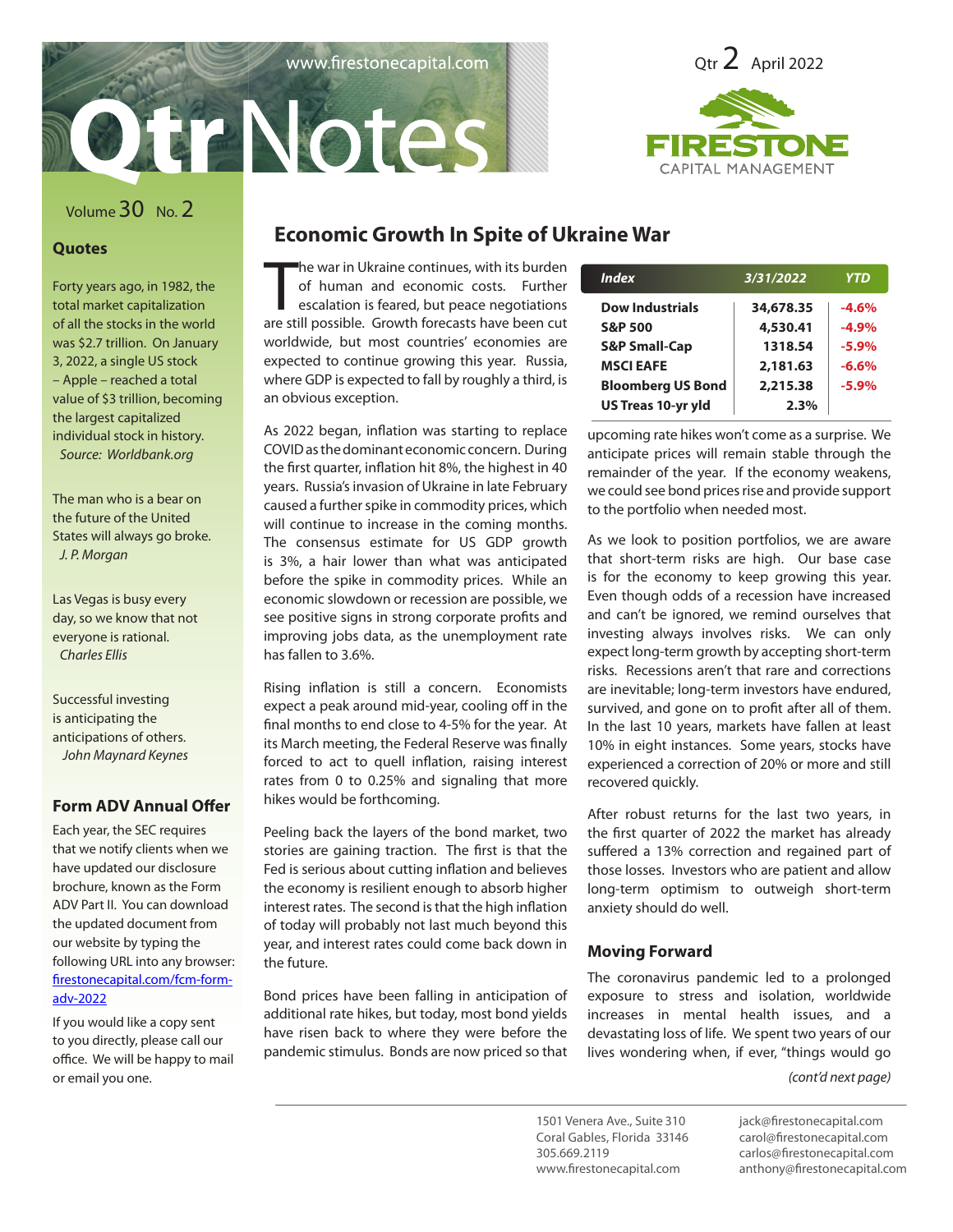



## Volume30 No. 2

### **Quotes**

Forty years ago, in 1982, the total market capitalization of all the stocks in the world was \$2.7 trillion. On January 3, 2022, a single US stock – Apple – reached a total value of \$3 trillion, becoming the largest capitalized individual stock in history. *Source: Worldbank.org*

The man who is a bear on the future of the United States will always go broke. *J. P. Morgan*

Las Vegas is busy every day, so we know that not everyone is rational. *Charles Ellis*

Successful investing is anticipating the anticipations of others. *John Maynard Keynes*

## **Form ADV Annual Offer**

Each year, the SEC requires that we notify clients when we have updated our disclosure brochure, known as the Form ADV Part II. You can download the updated document from our website by typing the following URL into any browser: firestonecapital.com/fcm-formadv-2022

If you would like a copy sent to you directly, please call our office. We will be happy to mail or email you one.

## **Economic Growth In Spite of Ukraine War**

The war in Ukraine continues, with its burden<br>of human and economic costs. Further<br>escalation is feared, but peace negotiations<br>are still possible. Growth forecasts have been cut he war in Ukraine continues, with its burden of human and economic costs. Further escalation is feared, but peace negotiations worldwide, but most countries' economies are expected to continue growing this year. Russia, where GDP is expected to fall by roughly a third, is an obvious exception.

As 2022 began, inflation was starting to replace COVID as the dominant economic concern. During the first quarter, inflation hit 8%, the highest in 40 years. Russia's invasion of Ukraine in late February caused a further spike in commodity prices, which will continue to increase in the coming months. The consensus estimate for US GDP growth is 3%, a hair lower than what was anticipated before the spike in commodity prices. While an economic slowdown or recession are possible, we see positive signs in strong corporate profits and improving jobs data, as the unemployment rate has fallen to 3.6%.

Rising inflation is still a concern. Economists expect a peak around mid-year, cooling off in the final months to end close to 4-5% for the year. At its March meeting, the Federal Reserve was finally forced to act to quell inflation, raising interest rates from 0 to 0.25% and signaling that more hikes would be forthcoming.

Peeling back the layers of the bond market, two stories are gaining traction. The first is that the Fed is serious about cutting inflation and believes the economy is resilient enough to absorb higher interest rates. The second is that the high inflation of today will probably not last much beyond this year, and interest rates could come back down in the future.

Bond prices have been falling in anticipation of additional rate hikes, but today, most bond yields have risen back to where they were before the pandemic stimulus. Bonds are now priced so that

| <b>Index</b>              | 3/31/2022 | <b>YTD</b> |
|---------------------------|-----------|------------|
| <b>Dow Industrials</b>    | 34,678.35 | $-4.6%$    |
| <b>S&amp;P 500</b>        | 4,530.41  | $-4.9%$    |
| <b>S&amp;P Small-Cap</b>  | 1318.54   | $-5.9%$    |
| <b>MSCI EAFE</b>          | 2,181.63  | $-6.6%$    |
| <b>Bloomberg US Bond</b>  | 2,215.38  | $-5.9%$    |
| <b>US Treas 10-yr yld</b> | 2.3%      |            |

upcoming rate hikes won't come as a surprise. We anticipate prices will remain stable through the remainder of the year. If the economy weakens, we could see bond prices rise and provide support to the portfolio when needed most.

As we look to position portfolios, we are aware that short-term risks are high. Our base case is for the economy to keep growing this year. Even though odds of a recession have increased and can't be ignored, we remind ourselves that investing always involves risks. We can only expect long-term growth by accepting short-term risks. Recessions aren't that rare and corrections are inevitable; long-term investors have endured, survived, and gone on to profit after all of them. In the last 10 years, markets have fallen at least 10% in eight instances. Some years, stocks have experienced a correction of 20% or more and still recovered quickly.

After robust returns for the last two years, in the first quarter of 2022 the market has already suffered a 13% correction and regained part of those losses. Investors who are patient and allow long-term optimism to outweigh short-term anxiety should do well.

## **Moving Forward**

The coronavirus pandemic led to a prolonged exposure to stress and isolation, worldwide increases in mental health issues, and a devastating loss of life. We spent two years of our lives wondering when, if ever, "things would go

*(cont'd next page)*

1501 Venera Ave., Suite 310 Coral Gables, Florida 33146 305.669.2119 www.firestonecapital.com

jack@firestonecapital.com carol@firestonecapital.com carlos@firestonecapital.com anthony@firestonecapital.com